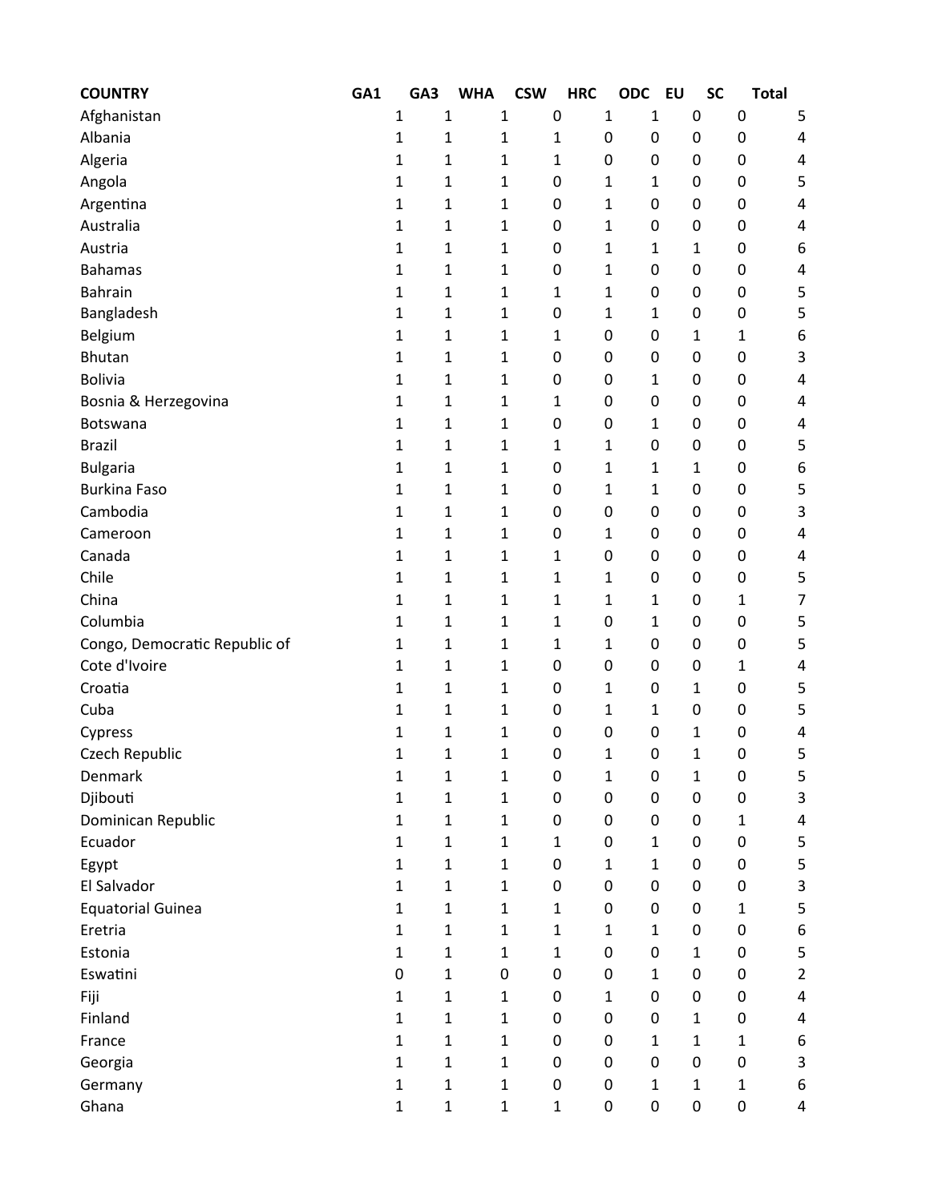| <b>COUNTRY</b>                | GA1 | GA3          | <b>WHA</b>   | <b>CSW</b>   | <b>HRC</b>   | <b>ODC</b>   | <b>EU</b>    | <b>SC</b>    | <b>Total</b> |                           |
|-------------------------------|-----|--------------|--------------|--------------|--------------|--------------|--------------|--------------|--------------|---------------------------|
| Afghanistan                   |     | $\mathbf{1}$ | $\mathbf{1}$ | $\mathbf{1}$ | 0            | 1            | 1            | 0            | 0            | 5                         |
| Albania                       |     | $\mathbf{1}$ | 1            | 1            | 1            | 0            | 0            | 0            | 0            | 4                         |
| Algeria                       |     | 1            | 1            | $\mathbf{1}$ | $\mathbf{1}$ | 0            | 0            | 0            | 0            | 4                         |
| Angola                        |     | 1            | 1            | 1            | 0            | 1            | 1            | 0            | 0            | 5                         |
| Argentina                     |     | 1            | 1            | 1            | 0            | 1            | 0            | 0            | 0            | 4                         |
| Australia                     |     | 1            | 1            | 1            | 0            | 1            | 0            | 0            | 0            | 4                         |
| Austria                       |     | $\mathbf{1}$ | 1            | 1            | 0            | 1            | 1            | 1            | 0            | 6                         |
| <b>Bahamas</b>                |     | 1            | 1            | 1            | 0            | 1            | 0            | 0            | 0            | 4                         |
| <b>Bahrain</b>                |     | 1            | 1            | $\mathbf{1}$ | 1            | 1            | 0            | 0            | 0            | 5                         |
| Bangladesh                    |     | 1            | 1            | 1            | 0            | 1            | 1            | 0            | 0            | 5                         |
| Belgium                       |     | 1            | 1            | 1            | 1            | 0            | 0            | 1            | 1            | 6                         |
| <b>Bhutan</b>                 |     | $\mathbf{1}$ | 1            | 1            | 0            | 0            | 0            | 0            | 0            | 3                         |
| <b>Bolivia</b>                |     | 1            | 1            | 1            | 0            | 0            | 1            | 0            | 0            | 4                         |
| Bosnia & Herzegovina          |     | 1            | 1            | $\mathbf{1}$ | 1            | 0            | 0            | 0            | 0            | 4                         |
| Botswana                      |     | $\mathbf{1}$ | 1            | 1            | 0            | 0            | 1            | 0            | 0            | 4                         |
| <b>Brazil</b>                 |     | 1            | 1            | 1            | 1            | 1            | 0            | 0            | 0            | 5                         |
| <b>Bulgaria</b>               |     | $\mathbf{1}$ | 1            | 1            | 0            | 1            | 1            | 1            | 0            | 6                         |
| <b>Burkina Faso</b>           |     | 1            | 1            | 1            | 0            | 1            | $\mathbf{1}$ | 0            | 0            | 5                         |
| Cambodia                      |     | 1            | 1            | 1            | 0            | 0            | 0            | 0            | 0            | 3                         |
| Cameroon                      |     | 1            | $\mathbf{1}$ | 1            | 0            | 1            | 0            | 0            | 0            | 4                         |
| Canada                        |     | 1            | 1            | 1            | 1            | 0            | 0            | 0            | 0            | 4                         |
| Chile                         |     | 1            | 1            | 1            | 1            | 1            | 0            | 0            | 0            | 5                         |
| China                         |     | 1            | 1            | 1            | 1            | 1            | $\mathbf{1}$ | 0            | 1            | 7                         |
| Columbia                      |     | 1            | 1            | 1            | 1            | 0            | 1            | 0            | 0            | 5                         |
| Congo, Democratic Republic of |     | 1            | 1            | 1            | 1            | 1            | 0            | 0            | 0            | 5                         |
| Cote d'Ivoire                 |     | 1            | 1            | 1            | 0            | 0            | 0            | 0            | 1            | 4                         |
| Croatia                       |     | 1            | 1            | 1            | 0            | 1            | 0            | 1            | 0            | 5                         |
| Cuba                          |     | 1            | 1            | 1            | 0            | 1            | $\mathbf{1}$ | 0            | 0            | 5                         |
| Cypress                       |     | 1            | 1            | 1            | 0            | 0            | 0            | 1            | 0            | 4                         |
| Czech Republic                |     | 1            | 1            | 1            | 0            | $\mathbf 1$  | $\mathbf 0$  | 1            | 0            | 5                         |
| Denmark                       |     | $\mathbf{1}$ | $\mathbf{1}$ | $\mathbf{1}$ | 0            | 1            | 0            | $\mathbf{1}$ | 0            | 5                         |
| Djibouti                      |     | $\mathbf{1}$ | $\mathbf 1$  | $\mathbf{1}$ | $\pmb{0}$    | $\pmb{0}$    | $\pmb{0}$    | 0            | 0            | 3                         |
| Dominican Republic            |     | $\mathbf 1$  | $\mathbf 1$  | $\mathbf{1}$ | 0            | $\pmb{0}$    | 0            | 0            | $\mathbf{1}$ | $\overline{\mathbf{4}}$   |
| Ecuador                       |     | $\mathbf{1}$ | $\mathbf 1$  | $\mathbf{1}$ | $\mathbf{1}$ | $\pmb{0}$    | $\mathbf{1}$ | 0            | 0            | 5                         |
| Egypt                         |     | 1            | $\mathbf 1$  | $\mathbf 1$  | 0            | $\mathbf{1}$ | $\mathbf{1}$ | 0            | 0            | 5                         |
| El Salvador                   |     | $\mathbf{1}$ | $\mathbf 1$  | $\mathbf{1}$ | 0            | 0            | 0            | 0            | 0            | 3                         |
| <b>Equatorial Guinea</b>      |     | $\mathbf{1}$ | $\mathbf 1$  | $\mathbf{1}$ | $\mathbf{1}$ | $\pmb{0}$    | 0            | 0            | $\mathbf{1}$ | 5                         |
| Eretria                       |     | $\mathbf 1$  | $\mathbf 1$  | $\mathbf{1}$ | $\mathbf{1}$ | 1            | $\mathbf{1}$ | 0            | 0            | $\boldsymbol{6}$          |
| Estonia                       |     | $\mathbf{1}$ | $\mathbf 1$  | $\mathbf{1}$ | $\mathbf{1}$ | 0            | 0            | 1            | 0            | 5                         |
| Eswatini                      |     | 0            | $\mathbf 1$  | 0            | 0            | $\pmb{0}$    | $\mathbf 1$  | 0            | 0            | $\overline{2}$            |
| Fiji                          |     | $\mathbf{1}$ | $\mathbf 1$  | $\mathbf{1}$ | 0            | 1            | 0            | 0            | 0            | $\overline{\mathbf{4}}$   |
| Finland                       |     | $\mathbf 1$  | $\mathbf{1}$ | $\mathbf{1}$ | 0            | $\pmb{0}$    | 0            | $\mathbf{1}$ | 0            | 4                         |
| France                        |     | $\mathbf 1$  | $\mathbf 1$  | $\mathbf{1}$ | $\mathbf 0$  | $\pmb{0}$    | $\mathbf{1}$ | $\mathbf{1}$ | $\mathbf{1}$ | 6                         |
| Georgia                       |     | $\mathbf{1}$ | $\mathbf 1$  | $\mathbf{1}$ | 0            | $\pmb{0}$    | $\pmb{0}$    | 0            | 0            | $\ensuremath{\mathsf{3}}$ |
| Germany                       |     | $\mathbf 1$  | $\mathbf 1$  | $\mathbf 1$  | $\pmb{0}$    | $\pmb{0}$    | $\mathbf{1}$ | $\mathbf{1}$ | $\mathbf{1}$ | 6                         |
| Ghana                         |     | $\mathbf 1$  | $\mathbf{1}$ | $\mathbf{1}$ | $\mathbf{1}$ | 0            | 0            | 0            | 0            | 4                         |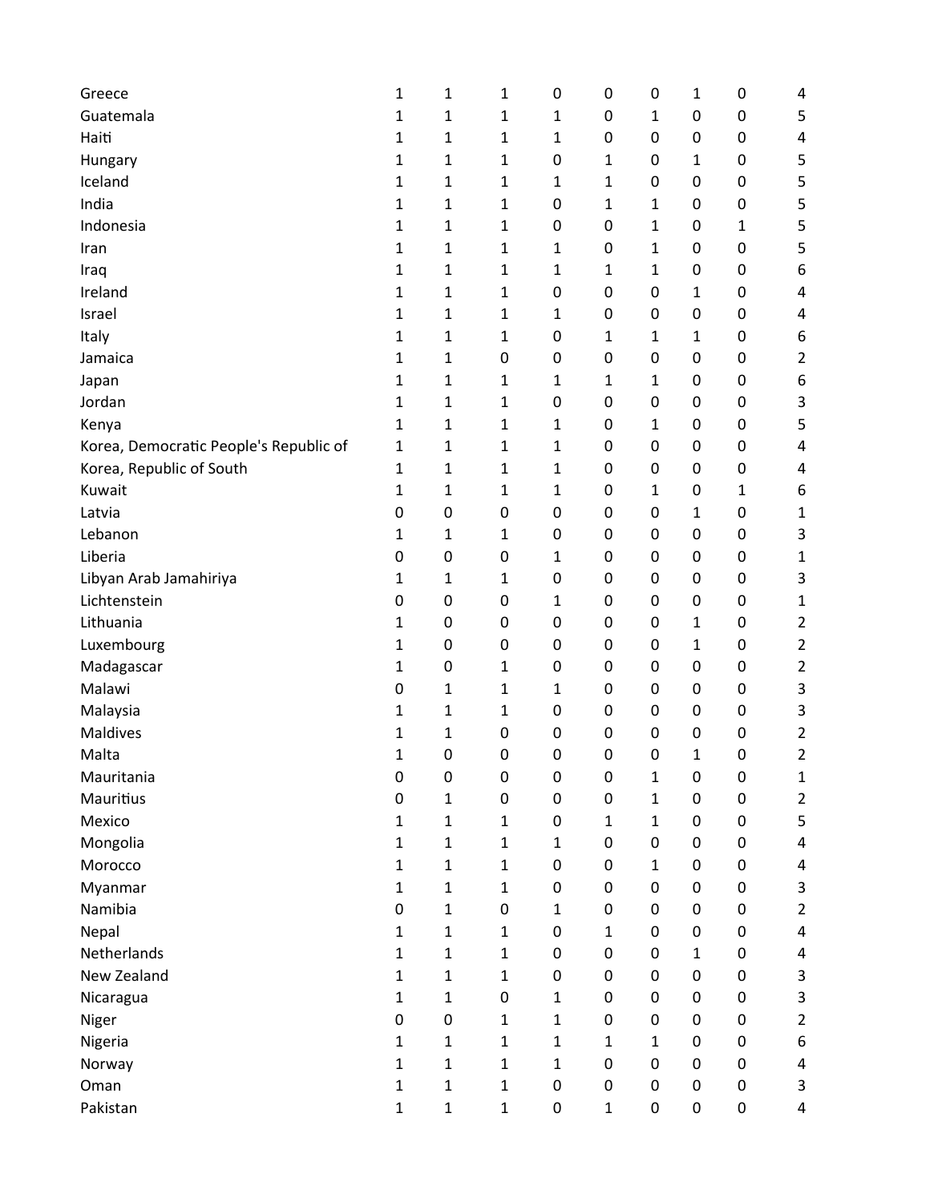| Greece                                 | 1            | 1                | $\mathbf{1}$     | 0            | 0            | 0            | 1            | 0         | 4              |
|----------------------------------------|--------------|------------------|------------------|--------------|--------------|--------------|--------------|-----------|----------------|
| Guatemala                              | 1            | 1                | 1                | 1            | 0            | 1            | $\mathbf 0$  | 0         | 5              |
| Haiti                                  | 1            | 1                | 1                | 1            | 0            | 0            | 0            | 0         | 4              |
| Hungary                                | 1            | 1                | 1                | 0            | 1            | 0            | 1            | $\pmb{0}$ | 5              |
| Iceland                                | 1            | 1                | $\mathbf{1}$     | 1            | 1            | 0            | 0            | $\pmb{0}$ | 5              |
| India                                  | 1            | 1                | 1                | 0            | 1            | 1            | 0            | 0         | 5              |
| Indonesia                              | 1            | 1                | 1                | 0            | 0            | 1            | 0            | 1         | 5              |
| Iran                                   | 1            | 1                | 1                | 1            | 0            | 1            | 0            | 0         | 5              |
| Iraq                                   | 1            | 1                | 1                | 1            | 1            | 1            | 0            | 0         | 6              |
| Ireland                                | 1            | 1                | 1                | 0            | 0            | 0            | $\mathbf{1}$ | $\pmb{0}$ | 4              |
| Israel                                 | 1            | 1                | 1                | 1            | 0            | 0            | 0            | $\pmb{0}$ | 4              |
| Italy                                  | 1            | 1                | 1                | 0            | 1            | 1            | 1            | $\pmb{0}$ | 6              |
| Jamaica                                | 1            | 1                | 0                | 0            | 0            | 0            | 0            | 0         | $\overline{2}$ |
| Japan                                  | 1            | 1                | 1                | 1            | 1            | 1            | 0            | 0         | 6              |
| Jordan                                 | 1            | 1                | 1                | 0            | 0            | 0            | 0            | 0         | 3              |
| Kenya                                  | 1            | 1                | 1                | 1            | 0            | 1            | 0            | 0         | 5              |
| Korea, Democratic People's Republic of | 1            | 1                | 1                | 1            | 0            | 0            | 0            | $\pmb{0}$ | 4              |
| Korea, Republic of South               | 1            | 1                | 1                | 1            | 0            | 0            | 0            | 0         | 4              |
| Kuwait                                 | 1            | 1                | $\mathbf{1}$     | 1            | $\pmb{0}$    | 1            | 0            | 1         | 6              |
| Latvia                                 | 0            | 0                | 0                | 0            | 0            | 0            | 1            | 0         | $\mathbf{1}$   |
| Lebanon                                | 1            | 1                | 1                | 0            | 0            | 0            | 0            | 0         | 3              |
| Liberia                                | 0            | 0                | 0                | 1            | 0            | 0            | 0            | 0         | 1              |
| Libyan Arab Jamahiriya                 | 1            | 1                | 1                | 0            | 0            | 0            | 0            | 0         | 3              |
| Lichtenstein                           | 0            | 0                | 0                | 1            | 0            | 0            | 0            | $\pmb{0}$ | 1              |
| Lithuania                              | 1            | 0                | 0                | 0            | 0            | 0            | 1            | 0         | $\overline{2}$ |
| Luxembourg                             | 1            | 0                | 0                | 0            | 0            | 0            | 1            | 0         | $\overline{2}$ |
| Madagascar                             | 1            | $\boldsymbol{0}$ | 1                | 0            | 0            | 0            | 0            | $\pmb{0}$ | $\overline{2}$ |
| Malawi                                 | 0            | 1                | $\mathbf{1}$     | 1            | $\pmb{0}$    | 0            | 0            | 0         | 3              |
| Malaysia                               | 1            | 1                | 1                | 0            | 0            | 0            | 0            | 0         | 3              |
| Maldives                               | 1            | 1                | 0                | 0            | 0            | 0            | 0            | 0         | $\overline{2}$ |
| Malta                                  | 1            | 0                | $\mathbf 0$      | 0            | $\pmb{0}$    | 0            | 1            | 0         | $\overline{2}$ |
| Mauritania                             | 0            | 0                | 0                | 0            | 0            | 1            | 0            | 0         | $\mathbf{1}$   |
| Mauritius                              | 0            | 1                | $\boldsymbol{0}$ | 0            | $\pmb{0}$    | $\mathbf{1}$ | $\mathbf 0$  | $\pmb{0}$ | $\overline{2}$ |
| Mexico                                 | 1            | 1                | $\mathbf{1}$     | 0            | 1            | 1            | $\mathbf 0$  | 0         | 5              |
| Mongolia                               | 1            | 1                | $\mathbf{1}$     | $\mathbf{1}$ | 0            | 0            | 0            | 0         | 4              |
| Morocco                                | 1            | $\mathbf{1}$     | $\mathbf{1}$     | 0            | 0            | $\mathbf{1}$ | 0            | 0         | 4              |
| Myanmar                                | 1            | 1                | $\mathbf{1}$     | 0            | 0            | 0            | 0            | 0         | 3              |
| Namibia                                | 0            | 1                | $\boldsymbol{0}$ | $\mathbf{1}$ | 0            | 0            | 0            | $\pmb{0}$ | $\overline{2}$ |
| Nepal                                  | 1            | 1                | $\mathbf 1$      | 0            | 1            | 0            | 0            | 0         | 4              |
| Netherlands                            | 1            | 1                | $\mathbf 1$      | 0            | 0            | 0            | $\mathbf{1}$ | 0         | 4              |
| New Zealand                            | 1            | 1                | $\mathbf{1}$     | 0            | $\pmb{0}$    | 0            | $\pmb{0}$    | 0         | 3              |
| Nicaragua                              | 1            | 1                | $\boldsymbol{0}$ | $\mathbf{1}$ | 0            | 0            | 0            | 0         | 3              |
| Niger                                  | 0            | $\pmb{0}$        | $\mathbf{1}$     | $\mathbf{1}$ | 0            | 0            | $\pmb{0}$    | $\pmb{0}$ | $\overline{2}$ |
| Nigeria                                | $\mathbf{1}$ | $\mathbf{1}$     | $\mathbf{1}$     | $\mathbf{1}$ | 1            | 1            | 0            | $\pmb{0}$ | 6              |
| Norway                                 | 1            | $\mathbf{1}$     | $\mathbf{1}$     | $\mathbf{1}$ | 0            | 0            | $\mathbf 0$  | $\pmb{0}$ | 4              |
| Oman                                   | 1            | 1                | $\mathbf 1$      | 0            | 0            | 0            | $\pmb{0}$    | $\pmb{0}$ | 3              |
| Pakistan                               | $\mathbf{1}$ | 1                | $\mathbf 1$      | 0            | $\mathbf{1}$ | 0            | $\pmb{0}$    | 0         | 4              |